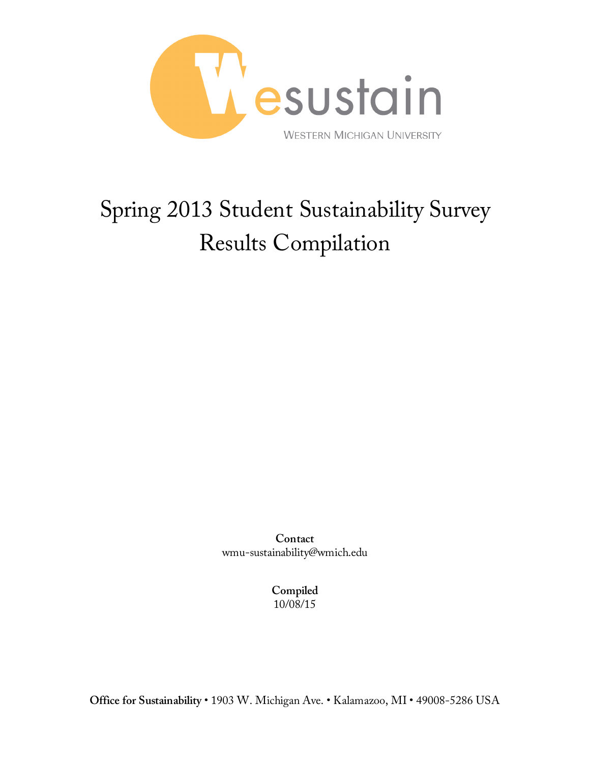

# Spring 2013 Student Sustainability Survey Results Compilation

**Contact** wmu-sustainability@wmich.edu

> **Compiled** 10/08/15

**Office for Sustainability** • 1903 W. Michigan Ave. • Kalamazoo, MI • 49008-5286 USA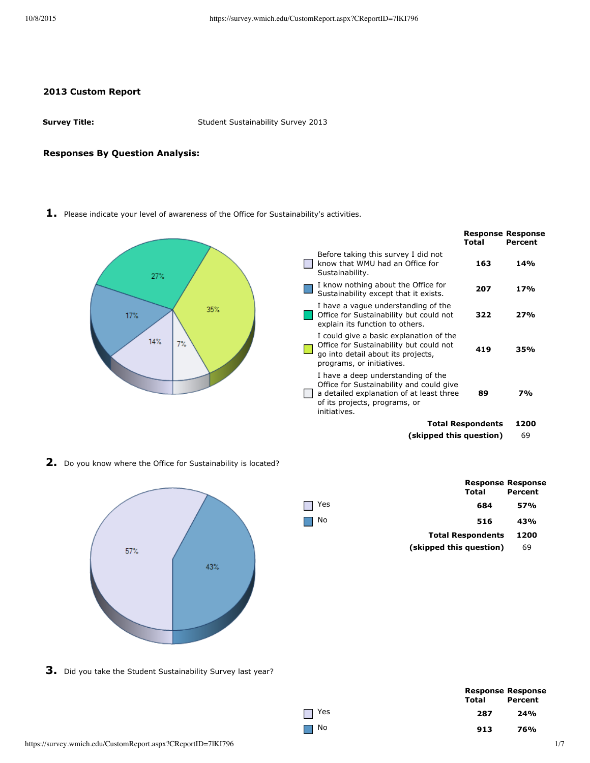### **2013 Custom Report**

**Survey Title:** Student Sustainability Survey 2013

#### **Responses By Question Analysis:**

**1.** Please indicate your level of awareness of the Office for Sustainability's activities.



**2.** Do you know where the Office for Sustainability is located?



|     | <b>Response Response</b><br>Total | Percent |
|-----|-----------------------------------|---------|
| Yes | 684                               | 57%     |
| No  | 516                               | 43%     |
|     | <b>Total Respondents</b>          | 1200    |
|     | (skipped this question)           | 69      |
|     |                                   |         |

**3.** Did you take the Student Sustainability Survey last year?

| ٧ |
|---|

|     |       | <b>Response Response</b> |
|-----|-------|--------------------------|
|     | Total | Percent                  |
| Yes | 287   | 24%                      |
| No  | 913   | 76%                      |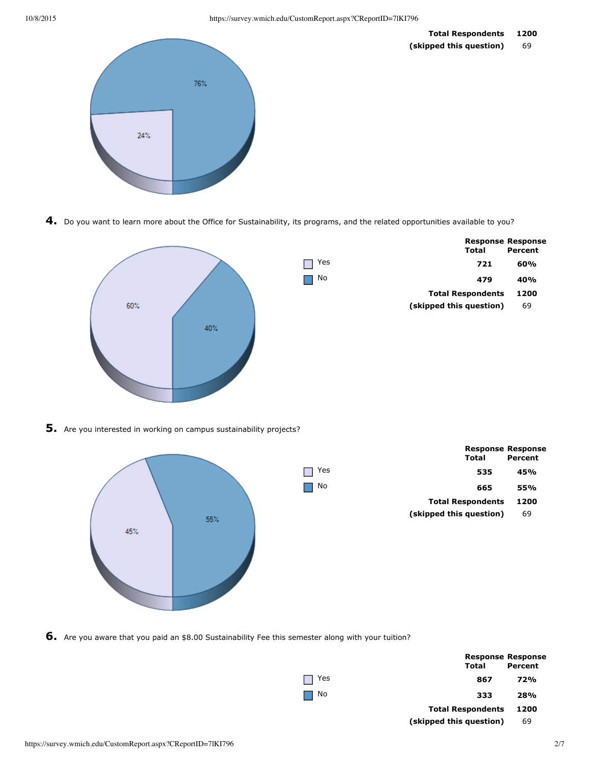

**4.** Do you want to learn more about the Office for Sustainability, its programs, and the related opportunities available to you?



**5.** Are you interested in working on campus sustainability projects?



**6.** Are you aware that you paid an \$8.00 Sustainability Fee this semester along with your tuition?

|                       | Total                    | <b>Response Response</b><br>Percent |
|-----------------------|--------------------------|-------------------------------------|
| 1 Yes<br>$\mathbf{I}$ | 867                      | 72%                                 |
| No                    | 333                      | 28%                                 |
|                       | <b>Total Respondents</b> | 1200                                |
|                       | (skipped this question)  | 69                                  |
|                       |                          |                                     |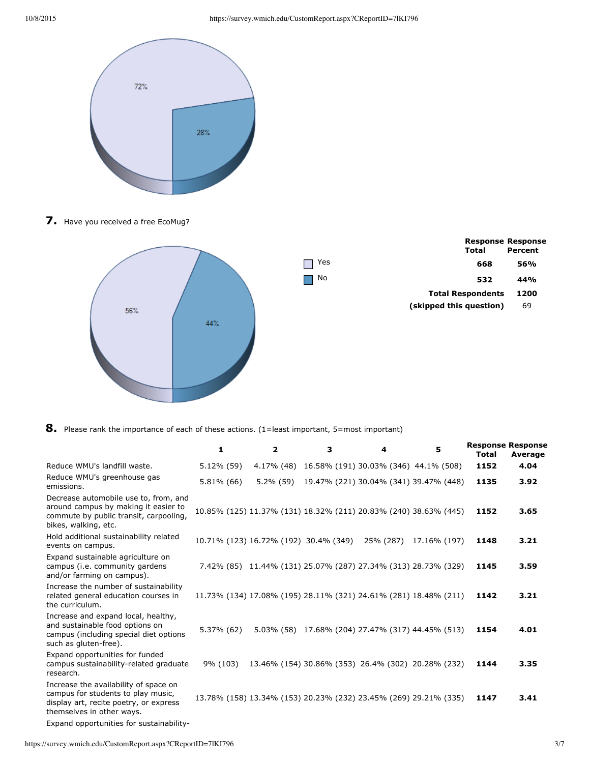

7. Have you received a free EcoMug?



|     | <b>Response Response</b><br>Total | Percent |
|-----|-----------------------------------|---------|
| Yes | 668                               | 56%     |
| No  | 532                               | 44%     |
|     | <b>Total Respondents</b>          | 1200    |
|     | (skipped this question)           | 69      |
|     |                                   |         |

**8.** Please rank the importance of each of these actions. (1=least important, 5=most important)

|                                                                                                                                                    | 1          | $\overline{2}$                        | 3 | 4                                                                | 5            | <b>Response Response</b><br><b>Total</b> | Average |
|----------------------------------------------------------------------------------------------------------------------------------------------------|------------|---------------------------------------|---|------------------------------------------------------------------|--------------|------------------------------------------|---------|
| Reduce WMU's landfill waste.                                                                                                                       | 5.12% (59) |                                       |   | 4.17% (48) 16.58% (191) 30.03% (346) 44.1% (508)                 |              | 1152                                     | 4.04    |
| Reduce WMU's greenhouse gas<br>emissions.                                                                                                          | 5.81% (66) | 5.2% (59)                             |   | 19.47% (221) 30.04% (341) 39.47% (448)                           |              | 1135                                     | 3.92    |
| Decrease automobile use to, from, and<br>around campus by making it easier to<br>commute by public transit, carpooling,<br>bikes, walking, etc.    |            |                                       |   | 10.85% (125) 11.37% (131) 18.32% (211) 20.83% (240) 38.63% (445) |              | 1152                                     | 3.65    |
| Hold additional sustainability related<br>events on campus.                                                                                        |            | 10.71% (123) 16.72% (192) 30.4% (349) |   | 25% (287)                                                        | 17.16% (197) | 1148                                     | 3.21    |
| Expand sustainable agriculture on<br>campus (i.e. community gardens<br>and/or farming on campus).                                                  |            |                                       |   | 7.42% (85) 11.44% (131) 25.07% (287) 27.34% (313) 28.73% (329)   |              | 1145                                     | 3.59    |
| Increase the number of sustainability<br>related general education courses in<br>the curriculum.                                                   |            |                                       |   | 11.73% (134) 17.08% (195) 28.11% (321) 24.61% (281) 18.48% (211) |              | 1142                                     | 3.21    |
| Increase and expand local, healthy,<br>and sustainable food options on<br>campus (including special diet options<br>such as gluten-free).          | 5.37% (62) |                                       |   | 5.03% (58) 17.68% (204) 27.47% (317) 44.45% (513)                |              | 1154                                     | 4.01    |
| Expand opportunities for funded<br>campus sustainability-related graduate<br>research.                                                             | 9% (103)   |                                       |   | 13.46% (154) 30.86% (353) 26.4% (302) 20.28% (232)               |              | 1144                                     | 3.35    |
| Increase the availability of space on<br>campus for students to play music,<br>display art, recite poetry, or express<br>themselves in other ways. |            |                                       |   | 13.78% (158) 13.34% (153) 20.23% (232) 23.45% (269) 29.21% (335) |              | 1147                                     | 3.41    |
| Expand opportunities for sustainability-                                                                                                           |            |                                       |   |                                                                  |              |                                          |         |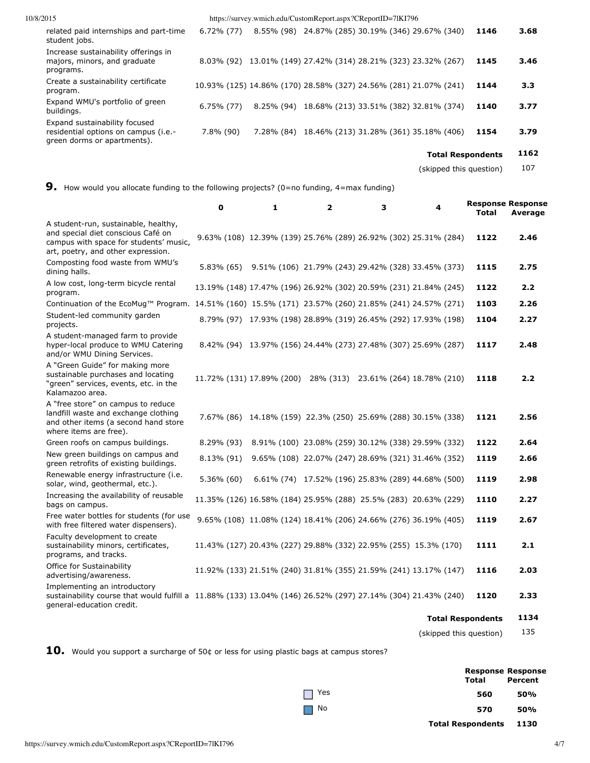| 10/8/2015                                                                                            |               |            | https://survey.wmich.edu/CustomReport.aspx?CReportID=71KI796     |              |
|------------------------------------------------------------------------------------------------------|---------------|------------|------------------------------------------------------------------|--------------|
| related paid internships and part-time<br>student jobs.                                              | $6.72\%$ (77) |            | 8.55% (98) 24.87% (285) 30.19% (346) 29.67% (340)                | 3.68<br>1146 |
| Increase sustainability offerings in<br>majors, minors, and graduate<br>programs.                    |               |            | 8.03% (92) 13.01% (149) 27.42% (314) 28.21% (323) 23.32% (267)   | 1145<br>3.46 |
| Create a sustainability certificate<br>program.                                                      |               |            | 10.93% (125) 14.86% (170) 28.58% (327) 24.56% (281) 21.07% (241) | 1144<br>3.3  |
| Expand WMU's portfolio of green<br>buildings.                                                        | $6.75\%$ (77) | 8.25% (94) | 18.68% (213) 33.51% (382) 32.81% (374)                           | 1140<br>3.77 |
| Expand sustainability focused<br>residential options on campus (i.e.-<br>green dorms or apartments). | $7.8\%$ (90)  | 7.28% (84) | 18.46% (213) 31.28% (361) 35.18% (406)                           | 1154<br>3.79 |

## **Total Respondents 1162**

(skipped this question) 107

# **9.** How would you allocate funding to the following projects? (0=no funding, 4=max funding)

|                                                                                                                                                                          | $\mathbf 0$ | 1 | $\mathbf{z}$ | з | 4                                                                | <b>Response Response</b><br>Total | Average |
|--------------------------------------------------------------------------------------------------------------------------------------------------------------------------|-------------|---|--------------|---|------------------------------------------------------------------|-----------------------------------|---------|
| A student-run, sustainable, healthy,<br>and special diet conscious Café on<br>campus with space for students' music,<br>art, poetry, and other expression.               |             |   |              |   | 9.63% (108) 12.39% (139) 25.76% (289) 26.92% (302) 25.31% (284)  | 1122                              | 2.46    |
| Composting food waste from WMU's<br>dining halls.                                                                                                                        | 5.83% (65)  |   |              |   | 9.51% (106) 21.79% (243) 29.42% (328) 33.45% (373)               | 1115                              | 2.75    |
| A low cost, long-term bicycle rental<br>program.                                                                                                                         |             |   |              |   | 13.19% (148) 17.47% (196) 26.92% (302) 20.59% (231) 21.84% (245) | 1122                              | 2.2     |
| Continuation of the EcoMug™ Program. 14.51% (160) 15.5% (171) 23.57% (260) 21.85% (241) 24.57% (271)                                                                     |             |   |              |   |                                                                  | 1103                              | 2.26    |
| Student-led community garden<br>projects.                                                                                                                                |             |   |              |   | 8.79% (97) 17.93% (198) 28.89% (319) 26.45% (292) 17.93% (198)   | 1104                              | 2.27    |
| A student-managed farm to provide<br>hyper-local produce to WMU Catering<br>and/or WMU Dining Services.                                                                  |             |   |              |   | 8.42% (94) 13.97% (156) 24.44% (273) 27.48% (307) 25.69% (287)   | 1117                              | 2.48    |
| A "Green Guide" for making more<br>sustainable purchases and locating<br>"green" services, events, etc. in the<br>Kalamazoo area.                                        |             |   |              |   | 11.72% (131) 17.89% (200) 28% (313) 23.61% (264) 18.78% (210)    | 1118                              | 2.2     |
| A "free store" on campus to reduce<br>landfill waste and exchange clothing<br>and other items (a second hand store<br>where items are free).                             |             |   |              |   | 7.67% (86) 14.18% (159) 22.3% (250) 25.69% (288) 30.15% (338)    | 1121                              | 2.56    |
| Green roofs on campus buildings.                                                                                                                                         | 8.29% (93)  |   |              |   | 8.91% (100) 23.08% (259) 30.12% (338) 29.59% (332)               | 1122                              | 2.64    |
| New green buildings on campus and<br>green retrofits of existing buildings.                                                                                              | 8.13% (91)  |   |              |   | 9.65% (108) 22.07% (247) 28.69% (321) 31.46% (352)               | 1119                              | 2.66    |
| Renewable energy infrastructure (i.e.<br>solar, wind, geothermal, etc.).                                                                                                 | 5.36% (60)  |   |              |   | 6.61% (74) 17.52% (196) 25.83% (289) 44.68% (500)                | 1119                              | 2.98    |
| Increasing the availability of reusable<br>bags on campus.                                                                                                               |             |   |              |   | 11.35% (126) 16.58% (184) 25.95% (288) 25.5% (283) 20.63% (229)  | 1110                              | 2.27    |
| Free water bottles for students (for use<br>with free filtered water dispensers).                                                                                        |             |   |              |   | 9.65% (108) 11.08% (124) 18.41% (206) 24.66% (276) 36.19% (405)  | 1119                              | 2.67    |
| Faculty development to create<br>sustainability minors, certificates,<br>programs, and tracks.                                                                           |             |   |              |   | 11.43% (127) 20.43% (227) 29.88% (332) 22.95% (255) 15.3% (170)  | 1111                              | 2.1     |
| Office for Sustainability<br>advertising/awareness.                                                                                                                      |             |   |              |   | 11.92% (133) 21.51% (240) 31.81% (355) 21.59% (241) 13.17% (147) | 1116                              | 2.03    |
| Implementing an introductory<br>sustainability course that would fulfill a 11.88% (133) 13.04% (146) 26.52% (297) 27.14% (304) 21.43% (240)<br>general-education credit. |             |   |              |   |                                                                  | 1120                              | 2.33    |
|                                                                                                                                                                          |             |   |              |   | <b>Total Respondents</b>                                         |                                   | 1134    |
|                                                                                                                                                                          |             |   |              |   | (skipped this question)                                          |                                   | 135     |

10. Would you support a surcharge of 50¢ or less for using plastic bags at campus stores?

|           | <b>Response Response</b>      |         |
|-----------|-------------------------------|---------|
|           | <b>Total</b>                  | Percent |
| Yes       | 560                           | 50%     |
| $\Box$ No | 570                           | 50%     |
|           | <b>Total Respondents</b> 1130 |         |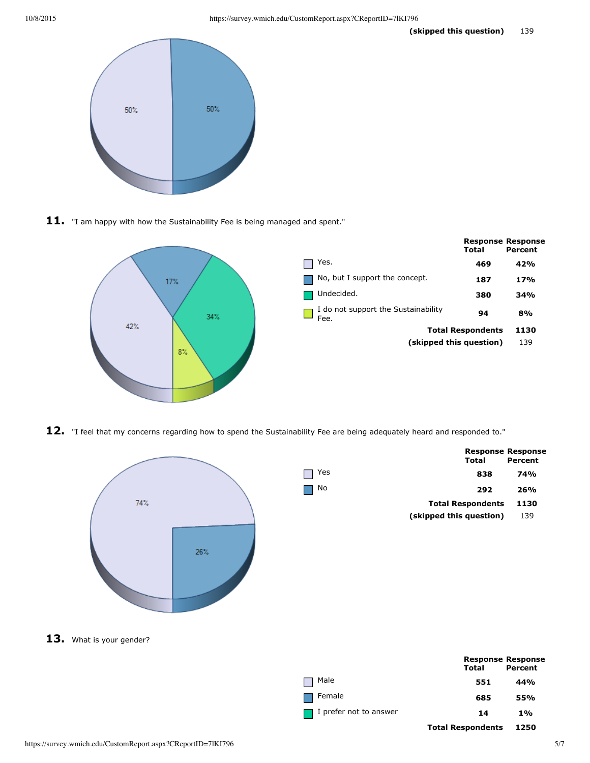

11. "I am happy with how the Sustainability Fee is being managed and spent."



12. "I feel that my concerns regarding how to spend the Sustainability Fee are being adequately heard and responded to."



|     | Total                    | <b>Response Response</b><br>Percent |
|-----|--------------------------|-------------------------------------|
| Yes | 838                      | 74%                                 |
| No  | 292                      | 26%                                 |
|     | <b>Total Respondents</b> | 1130                                |
|     | (skipped this question)  | 139                                 |
|     |                          |                                     |

|                               | <b>Response Response</b> |         |
|-------------------------------|--------------------------|---------|
|                               | Total                    | Percent |
| Male                          | 551                      | 44%     |
| Female                        | 685                      | 55%     |
| $\Box$ I prefer not to answer | 14                       | $1\%$   |
|                               | <b>Total Respondents</b> | 1250    |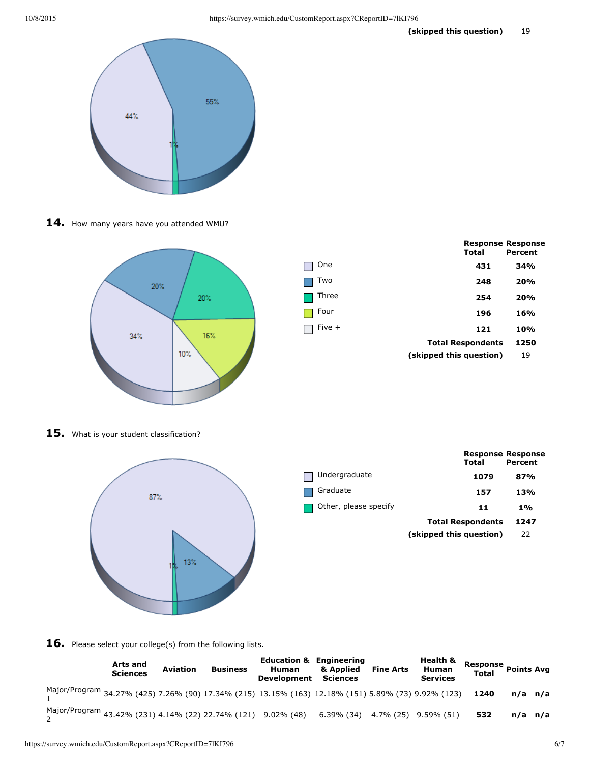

14. How many years have you attended WMU?



|        | Total                    | <b>Response Response</b><br>Percent |
|--------|--------------------------|-------------------------------------|
| One    | 431                      | 34%                                 |
| Two    | 248                      | 20%                                 |
| Three  | 254                      | 20%                                 |
| Four   | 196                      | 16%                                 |
| Five + | 121                      | 10%                                 |
|        | <b>Total Respondents</b> | 1250                                |
|        | (skipped this question)  | 19                                  |
|        |                          |                                     |

15. What is your student classification?



|                       | <b>Response Response</b><br>Total | Percent |
|-----------------------|-----------------------------------|---------|
| Undergraduate         | 1079                              | 87%     |
| Graduate              | 157                               | 13%     |
| Other, please specify | 11                                | 1%      |
|                       | <b>Total Respondents</b>          | 1247    |
|                       | (skipped this question)           | 22      |

16. Please select your college(s) from the following lists.

|                                                                                                          | Arts and<br><b>Sciences</b> | <b>Aviation</b> | <b>Business</b> | <b>Education &amp; Engineering</b><br><b>Human</b><br>Development Sciences | & Applied | <b>Fine Arts</b> | Health &<br>Human<br><b>Services</b> | Response Points Avr<br><b>Total</b> |         |  |
|----------------------------------------------------------------------------------------------------------|-----------------------------|-----------------|-----------------|----------------------------------------------------------------------------|-----------|------------------|--------------------------------------|-------------------------------------|---------|--|
| Major/Program 34.27% (425) 7.26% (90) 17.34% (215) 13.15% (163) 12.18% (151) 5.89% (73) 9.92% (123) 1240 |                             |                 |                 |                                                                            |           |                  |                                      |                                     | n/a n/a |  |
| Major/Program 43.42% (231) 4.14% (22) 22.74% (121) 9.02% (48) 6.39% (34) 4.7% (25) 9.59% (51)            |                             |                 |                 |                                                                            |           |                  |                                      | 532                                 | n/a n/a |  |